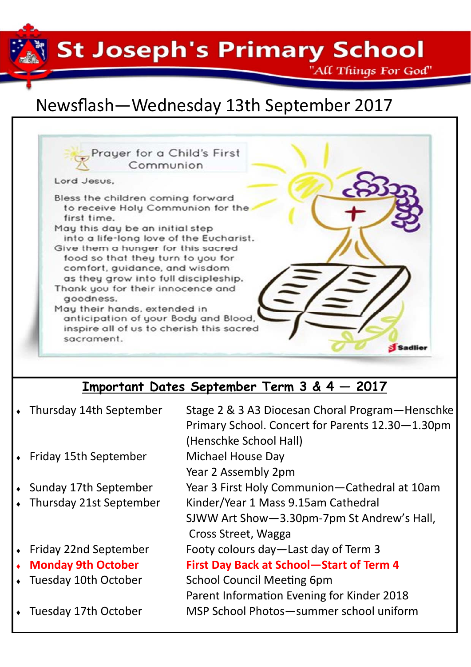St Joseph's Primary School \* \*

"All Things For God"

## Newsflash—Wednesday 13th September 2017



- Friday 22nd September Footy colours day—Last day of Term 3
- **Monday 9th October First Day Back at School-Start of Term 4**
- Tuesday 10th October School Council Meeting 6pm Parent Information Evening for Kinder 2018
	- Tuesday 17th October MSP School Photos—summer school uniform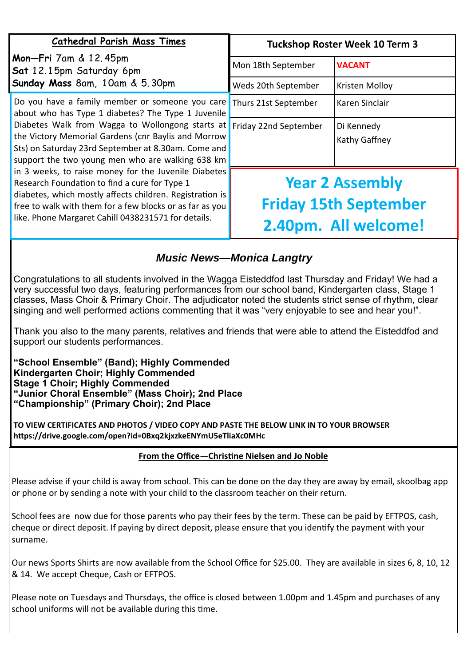| <b>Cathedral Parish Mass Times</b>                                                                                                                                                                                                                                                                                                                                                                                                                                                                                                                                                                                  | <b>Tuckshop Roster Week 10 Term 3</b>                                          |                             |
|---------------------------------------------------------------------------------------------------------------------------------------------------------------------------------------------------------------------------------------------------------------------------------------------------------------------------------------------------------------------------------------------------------------------------------------------------------------------------------------------------------------------------------------------------------------------------------------------------------------------|--------------------------------------------------------------------------------|-----------------------------|
| <b>Mon-Fri</b> 7am & 12.45pm<br>Sat 12.15pm Saturday 6pm<br>Sunday Mass 8am, 10am & 5.30pm                                                                                                                                                                                                                                                                                                                                                                                                                                                                                                                          | Mon 18th September                                                             | <b>VACANT</b>               |
|                                                                                                                                                                                                                                                                                                                                                                                                                                                                                                                                                                                                                     | Weds 20th September                                                            | Kristen Molloy              |
| Do you have a family member or someone you care<br>about who has Type 1 diabetes? The Type 1 Juvenile<br>Diabetes Walk from Wagga to Wollongong starts at<br>the Victory Memorial Gardens (cnr Baylis and Morrow<br>Sts) on Saturday 23rd September at 8.30am. Come and<br>support the two young men who are walking 638 km<br>in 3 weeks, to raise money for the Juvenile Diabetes<br>Research Foundation to find a cure for Type 1<br>diabetes, which mostly affects children. Registration is<br>free to walk with them for a few blocks or as far as you<br>like. Phone Margaret Cahill 0438231571 for details. | Thurs 21st September                                                           | Karen Sinclair              |
|                                                                                                                                                                                                                                                                                                                                                                                                                                                                                                                                                                                                                     | Friday 22nd September                                                          | Di Kennedy<br>Kathy Gaffney |
|                                                                                                                                                                                                                                                                                                                                                                                                                                                                                                                                                                                                                     | <b>Year 2 Assembly</b><br><b>Friday 15th September</b><br>2.40pm. All welcome! |                             |

## *Music News—Monica Langtry*

Congratulations to all students involved in the Wagga Eisteddfod last Thursday and Friday! We had a very successful two days, featuring performances from our school band, Kindergarten class, Stage 1 classes, Mass Choir & Primary Choir. The adjudicator noted the students strict sense of rhythm, clear singing and well performed actions commenting that it was "very enjoyable to see and hear you!".

Thank you also to the many parents, relatives and friends that were able to attend the Eisteddfod and support our students performances.

**"School Ensemble" (Band); Highly Commended Kindergarten Choir; Highly Commended Stage 1 Choir; Highly Commended "Junior Choral Ensemble" (Mass Choir); 2nd Place "Championship" (Primary Choir); 2nd Place** 

**TO VIEW CERTIFICATES AND PHOTOS / VIDEO COPY AND PASTE THE BELOW LINK IN TO YOUR BROWSER hƩps://drive.google.com/open?id=0Bxq2kjxzkeENYmU5eTliaXc0MHc** 

## From the Office-Christine Nielsen and Jo Noble

Please advise if your child is away from school. This can be done on the day they are away by email, skoolbag app or phone or by sending a note with your child to the classroom teacher on their return.

School fees are now due for those parents who pay their fees by the term. These can be paid by EFTPOS, cash, cheque or direct deposit. If paying by direct deposit, please ensure that you identify the payment with your surname.

Our news Sports Shirts are now available from the School Office for \$25.00. They are available in sizes 6, 8, 10, 12 & 14. We accept Cheque, Cash or EFTPOS.

Please note on Tuesdays and Thursdays, the office is closed between 1.00pm and 1.45pm and purchases of any school uniforms will not be available during this time.